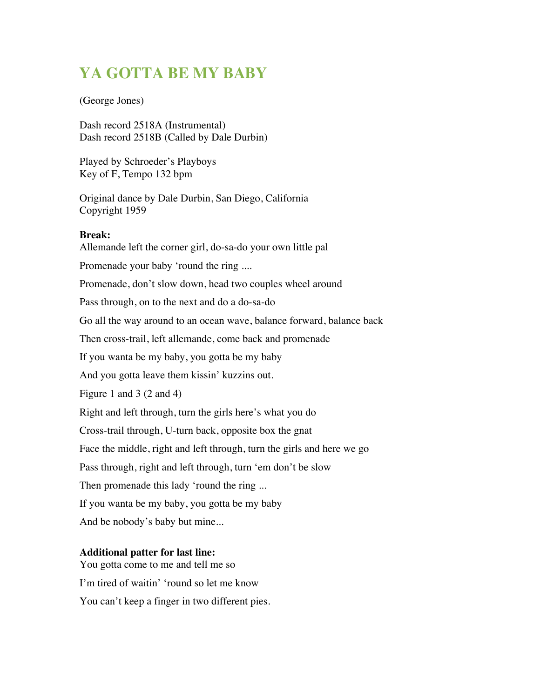# **YA GOTTA BE MY BABY**

#### (George Jones)

Dash record 2518A (Instrumental) Dash record 2518B (Called by Dale Durbin)

Played by Schroeder's Playboys Key of F, Tempo 132 bpm

Original dance by Dale Durbin, San Diego, California Copyright 1959

#### **Break:**

Allemande left the corner girl, do-sa-do your own little pal Promenade your baby 'round the ring .... Promenade, don't slow down, head two couples wheel around Pass through, on to the next and do a do-sa-do Go all the way around to an ocean wave, balance forward, balance back Then cross-trail, left allemande, come back and promenade If you wanta be my baby, you gotta be my baby And you gotta leave them kissin' kuzzins out. Figure 1 and 3 (2 and 4) Right and left through, turn the girls here's what you do Cross-trail through, U-turn back, opposite box the gnat Face the middle, right and left through, turn the girls and here we go Pass through, right and left through, turn 'em don't be slow Then promenade this lady 'round the ring ... If you wanta be my baby, you gotta be my baby And be nobody's baby but mine...

### **Additional patter for last line:**

You gotta come to me and tell me so I'm tired of waitin' 'round so let me know

You can't keep a finger in two different pies.